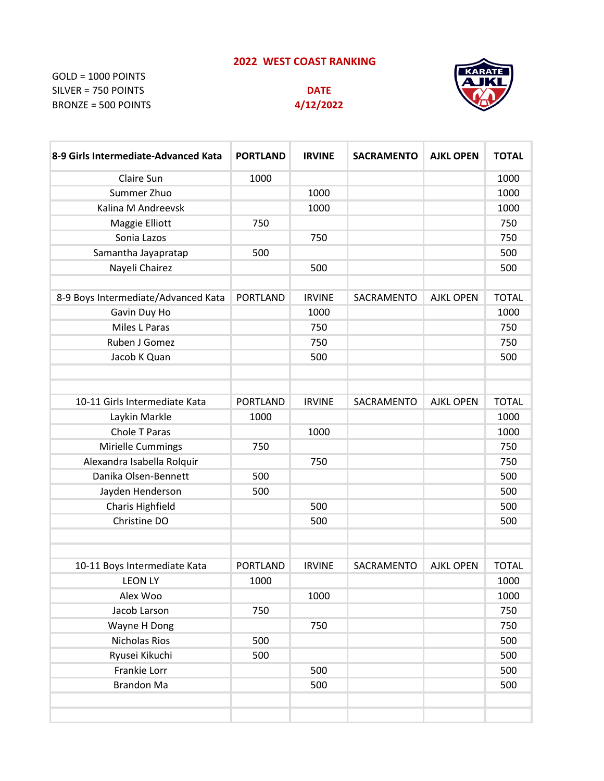## **2022 WEST COAST RANKING**

GOLD = 1000 POINTS SILVER = 750 POINTS **DATE** BRONZE = 500 POINTS **4/12/2022**





| 8-9 Girls Intermediate-Advanced Kata | <b>PORTLAND</b> | <b>IRVINE</b> | <b>SACRAMENTO</b> | <b>AJKL OPEN</b> | <b>TOTAL</b> |
|--------------------------------------|-----------------|---------------|-------------------|------------------|--------------|
| Claire Sun                           | 1000            |               |                   |                  | 1000         |
| Summer Zhuo                          |                 | 1000          |                   |                  | 1000         |
| Kalina M Andreevsk                   |                 | 1000          |                   |                  | 1000         |
| Maggie Elliott                       | 750             |               |                   |                  | 750          |
| Sonia Lazos                          |                 | 750           |                   |                  | 750          |
| Samantha Jayapratap                  | 500             |               |                   |                  | 500          |
| Nayeli Chairez                       |                 | 500           |                   |                  | 500          |
| 8-9 Boys Intermediate/Advanced Kata  | <b>PORTLAND</b> | <b>IRVINE</b> | SACRAMENTO        | <b>AJKL OPEN</b> | <b>TOTAL</b> |
| Gavin Duy Ho                         |                 | 1000          |                   |                  | 1000         |
| Miles L Paras                        |                 | 750           |                   |                  | 750          |
| Ruben J Gomez                        |                 | 750           |                   |                  | 750          |
| Jacob K Quan                         |                 | 500           |                   |                  | 500          |
|                                      |                 |               |                   |                  |              |
| 10-11 Girls Intermediate Kata        | <b>PORTLAND</b> | <b>IRVINE</b> | SACRAMENTO        | <b>AJKL OPEN</b> | <b>TOTAL</b> |
| Laykin Markle                        | 1000            |               |                   |                  | 1000         |
| Chole T Paras                        |                 | 1000          |                   |                  | 1000         |
| Mirielle Cummings                    | 750             |               |                   |                  | 750          |
| Alexandra Isabella Rolquir           |                 | 750           |                   |                  | 750          |
| Danika Olsen-Bennett                 | 500             |               |                   |                  | 500          |
| Jayden Henderson                     | 500             |               |                   |                  | 500          |
| Charis Highfield                     |                 | 500           |                   |                  | 500          |
| Christine DO                         |                 | 500           |                   |                  | 500          |
|                                      |                 |               |                   |                  |              |
| 10-11 Boys Intermediate Kata         | <b>PORTLAND</b> | <b>IRVINE</b> | SACRAMENTO        | <b>AJKL OPEN</b> | <b>TOTAL</b> |
| <b>LEON LY</b>                       | 1000            |               |                   |                  | 1000         |
| Alex Woo                             |                 | 1000          |                   |                  | 1000         |
| Jacob Larson                         | 750             |               |                   |                  | 750          |
| Wayne H Dong                         |                 | 750           |                   |                  | 750          |
| Nicholas Rios                        | 500             |               |                   |                  | 500          |
| Ryusei Kikuchi                       | 500             |               |                   |                  | 500          |
| Frankie Lorr                         |                 | 500           |                   |                  | 500          |
| <b>Brandon Ma</b>                    |                 | 500           |                   |                  | 500          |
|                                      |                 |               |                   |                  |              |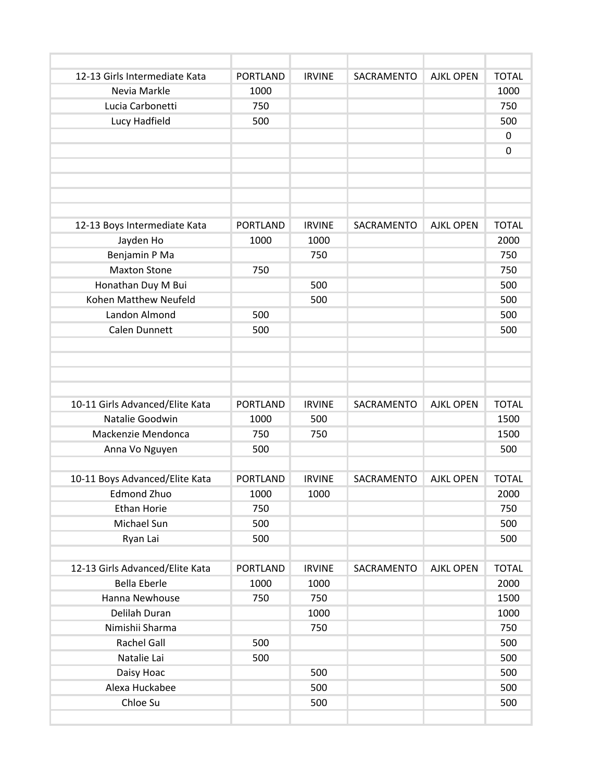| 12-13 Girls Intermediate Kata   | <b>PORTLAND</b> | <b>IRVINE</b> | SACRAMENTO | <b>AJKL OPEN</b> | <b>TOTAL</b> |
|---------------------------------|-----------------|---------------|------------|------------------|--------------|
| Nevia Markle                    | 1000            |               |            |                  | 1000         |
| Lucia Carbonetti                | 750             |               |            |                  | 750          |
| Lucy Hadfield                   | 500             |               |            |                  | 500          |
|                                 |                 |               |            |                  | 0            |
|                                 |                 |               |            |                  | $\mathbf 0$  |
|                                 |                 |               |            |                  |              |
|                                 |                 |               |            |                  |              |
|                                 |                 |               |            |                  |              |
|                                 |                 |               |            |                  |              |
| 12-13 Boys Intermediate Kata    | <b>PORTLAND</b> | <b>IRVINE</b> | SACRAMENTO | <b>AJKL OPEN</b> | <b>TOTAL</b> |
| Jayden Ho                       | 1000            | 1000          |            |                  | 2000         |
| Benjamin P Ma                   |                 | 750           |            |                  | 750          |
| <b>Maxton Stone</b>             | 750             |               |            |                  | 750          |
| Honathan Duy M Bui              |                 | 500           |            |                  | 500          |
| Kohen Matthew Neufeld           |                 | 500           |            |                  | 500          |
| Landon Almond                   | 500             |               |            |                  | 500          |
| Calen Dunnett                   | 500             |               |            |                  | 500          |
|                                 |                 |               |            |                  |              |
|                                 |                 |               |            |                  |              |
|                                 |                 |               |            |                  |              |
| 10-11 Girls Advanced/Elite Kata | <b>PORTLAND</b> | <b>IRVINE</b> | SACRAMENTO | <b>AJKL OPEN</b> | <b>TOTAL</b> |
| Natalie Goodwin                 | 1000            | 500           |            |                  | 1500         |
| Mackenzie Mendonca              | 750             | 750           |            |                  | 1500         |
| Anna Vo Nguyen                  | 500             |               |            |                  | 500          |
|                                 |                 |               |            |                  |              |
| 10-11 Boys Advanced/Elite Kata  | <b>PORTLAND</b> | <b>IRVINE</b> | SACRAMENTO | <b>AJKL OPEN</b> | <b>TOTAL</b> |
| <b>Edmond Zhuo</b>              | 1000            | 1000          |            |                  | 2000         |
| Ethan Horie                     | 750             |               |            |                  | 750          |
| Michael Sun                     | 500             |               |            |                  | 500          |
| Ryan Lai                        | 500             |               |            |                  | 500          |
|                                 |                 |               |            |                  |              |
| 12-13 Girls Advanced/Elite Kata | <b>PORTLAND</b> | <b>IRVINE</b> | SACRAMENTO | <b>AJKL OPEN</b> | <b>TOTAL</b> |
| <b>Bella Eberle</b>             | 1000            | 1000          |            |                  | 2000         |
| Hanna Newhouse                  | 750             | 750           |            |                  | 1500         |
| Delilah Duran                   |                 | 1000          |            |                  | 1000         |
| Nimishii Sharma                 |                 | 750           |            |                  | 750          |
| Rachel Gall                     | 500             |               |            |                  | 500          |
| Natalie Lai                     | 500             |               |            |                  | 500          |
| Daisy Hoac                      |                 | 500           |            |                  | 500          |
| Alexa Huckabee                  |                 | 500           |            |                  | 500          |
| Chloe Su                        |                 | 500           |            |                  | 500          |
|                                 |                 |               |            |                  |              |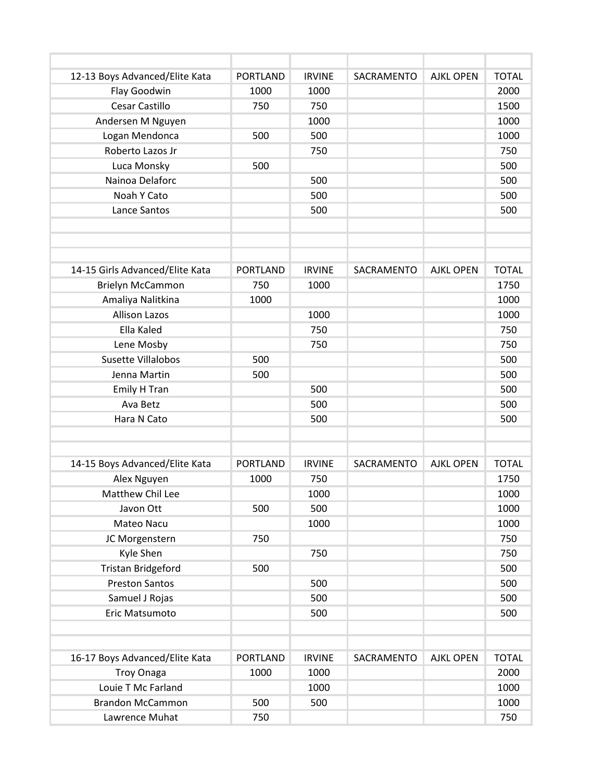| 12-13 Boys Advanced/Elite Kata  | <b>PORTLAND</b> | <b>IRVINE</b> | SACRAMENTO | <b>AJKL OPEN</b> | <b>TOTAL</b> |
|---------------------------------|-----------------|---------------|------------|------------------|--------------|
| Flay Goodwin                    | 1000            | 1000          |            |                  | 2000         |
| Cesar Castillo                  | 750             | 750           |            |                  | 1500         |
| Andersen M Nguyen               |                 | 1000          |            |                  | 1000         |
| Logan Mendonca                  | 500             | 500           |            |                  | 1000         |
| Roberto Lazos Jr                |                 | 750           |            |                  | 750          |
| Luca Monsky                     | 500             |               |            |                  | 500          |
| Nainoa Delaforc                 |                 | 500           |            |                  | 500          |
| Noah Y Cato                     |                 | 500           |            |                  | 500          |
| Lance Santos                    |                 | 500           |            |                  | 500          |
|                                 |                 |               |            |                  |              |
|                                 |                 |               |            |                  |              |
|                                 |                 |               |            |                  |              |
| 14-15 Girls Advanced/Elite Kata | <b>PORTLAND</b> | <b>IRVINE</b> | SACRAMENTO | <b>AJKL OPEN</b> | <b>TOTAL</b> |
| Brielyn McCammon                | 750             | 1000          |            |                  | 1750         |
| Amaliya Nalitkina               | 1000            |               |            |                  | 1000         |
| <b>Allison Lazos</b>            |                 | 1000          |            |                  | 1000         |
| Ella Kaled                      |                 | 750           |            |                  | 750          |
| Lene Mosby                      |                 | 750           |            |                  | 750          |
| <b>Susette Villalobos</b>       | 500             |               |            |                  | 500          |
| Jenna Martin                    | 500             |               |            |                  | 500          |
| Emily H Tran                    |                 | 500           |            |                  | 500          |
| Ava Betz                        |                 | 500           |            |                  | 500          |
| Hara N Cato                     |                 | 500           |            |                  | 500          |
|                                 |                 |               |            |                  |              |
|                                 |                 |               |            |                  |              |
| 14-15 Boys Advanced/Elite Kata  | <b>PORTLAND</b> | <b>IRVINE</b> | SACRAMENTO | <b>AJKL OPEN</b> | <b>TOTAL</b> |
| Alex Nguyen                     | 1000            | 750           |            |                  | 1750         |
| Matthew Chil Lee                |                 | 1000          |            |                  | 1000         |
| Javon Ott                       | 500             | 500           |            |                  | 1000         |
| Mateo Nacu                      |                 | 1000          |            |                  | 1000         |
| JC Morgenstern                  | 750             |               |            |                  | 750          |
| Kyle Shen                       |                 | 750           |            |                  | 750          |
| <b>Tristan Bridgeford</b>       | 500             |               |            |                  | 500          |
| <b>Preston Santos</b>           |                 | 500           |            |                  | 500          |
| Samuel J Rojas                  |                 | 500           |            |                  | 500          |
| Eric Matsumoto                  |                 | 500           |            |                  | 500          |
|                                 |                 |               |            |                  |              |
|                                 |                 |               |            |                  |              |
| 16-17 Boys Advanced/Elite Kata  | <b>PORTLAND</b> | <b>IRVINE</b> | SACRAMENTO | <b>AJKL OPEN</b> | <b>TOTAL</b> |
| <b>Troy Onaga</b>               | 1000            | 1000          |            |                  | 2000         |
| Louie T Mc Farland              |                 | 1000          |            |                  | 1000         |
| <b>Brandon McCammon</b>         | 500             | 500           |            |                  | 1000         |
| Lawrence Muhat                  | 750             |               |            |                  | 750          |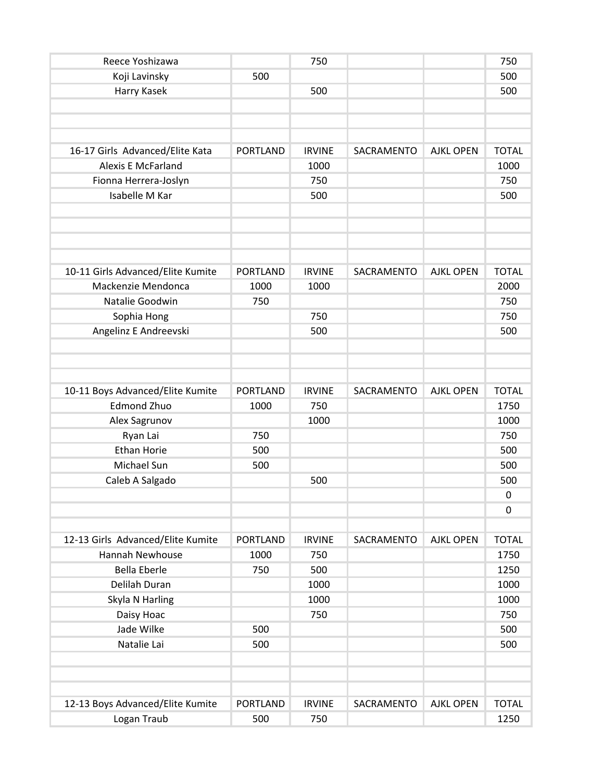| Reece Yoshizawa                   |                 | 750           |            |                  | 750          |
|-----------------------------------|-----------------|---------------|------------|------------------|--------------|
| Koji Lavinsky                     | 500             |               |            |                  | 500          |
| Harry Kasek                       |                 | 500           |            |                  | 500          |
|                                   |                 |               |            |                  |              |
|                                   |                 |               |            |                  |              |
|                                   |                 |               |            |                  |              |
| 16-17 Girls Advanced/Elite Kata   | <b>PORTLAND</b> | <b>IRVINE</b> | SACRAMENTO | <b>AJKL OPEN</b> | <b>TOTAL</b> |
| <b>Alexis E McFarland</b>         |                 | 1000          |            |                  | 1000         |
| Fionna Herrera-Joslyn             |                 | 750           |            |                  | 750          |
| Isabelle M Kar                    |                 | 500           |            |                  | 500          |
|                                   |                 |               |            |                  |              |
|                                   |                 |               |            |                  |              |
|                                   |                 |               |            |                  |              |
|                                   |                 |               |            |                  |              |
| 10-11 Girls Advanced/Elite Kumite | <b>PORTLAND</b> | <b>IRVINE</b> | SACRAMENTO | <b>AJKL OPEN</b> | <b>TOTAL</b> |
| Mackenzie Mendonca                | 1000            | 1000          |            |                  | 2000         |
| Natalie Goodwin                   | 750             |               |            |                  | 750          |
| Sophia Hong                       |                 | 750           |            |                  | 750          |
| Angelinz E Andreevski             |                 | 500           |            |                  | 500          |
|                                   |                 |               |            |                  |              |
|                                   |                 |               |            |                  |              |
|                                   |                 |               |            |                  |              |
| 10-11 Boys Advanced/Elite Kumite  | <b>PORTLAND</b> | <b>IRVINE</b> | SACRAMENTO | <b>AJKL OPEN</b> | <b>TOTAL</b> |
| <b>Edmond Zhuo</b>                | 1000            | 750           |            |                  | 1750         |
| Alex Sagrunov                     |                 | 1000          |            |                  | 1000         |
| Ryan Lai                          | 750             |               |            |                  | 750          |
| <b>Ethan Horie</b>                | 500             |               |            |                  | 500          |
| Michael Sun                       | 500             |               |            |                  | 500          |
| Caleb A Salgado                   |                 | 500           |            |                  | 500          |
|                                   |                 |               |            |                  | 0            |
|                                   |                 |               |            |                  | 0            |
|                                   |                 |               |            |                  |              |
| 12-13 Girls Advanced/Elite Kumite | <b>PORTLAND</b> | <b>IRVINE</b> | SACRAMENTO | <b>AJKL OPEN</b> | <b>TOTAL</b> |
| Hannah Newhouse                   | 1000            | 750           |            |                  | 1750         |
| <b>Bella Eberle</b>               | 750             | 500           |            |                  | 1250         |
| Delilah Duran                     |                 | 1000          |            |                  | 1000         |
| Skyla N Harling                   |                 | 1000          |            |                  | 1000         |
| Daisy Hoac                        |                 | 750           |            |                  | 750          |
| Jade Wilke                        | 500             |               |            |                  | 500          |
| Natalie Lai                       | 500             |               |            |                  | 500          |
|                                   |                 |               |            |                  |              |
|                                   |                 |               |            |                  |              |
|                                   |                 |               |            |                  |              |
| 12-13 Boys Advanced/Elite Kumite  | <b>PORTLAND</b> | <b>IRVINE</b> | SACRAMENTO | <b>AJKL OPEN</b> | <b>TOTAL</b> |
| Logan Traub                       | 500             | 750           |            |                  | 1250         |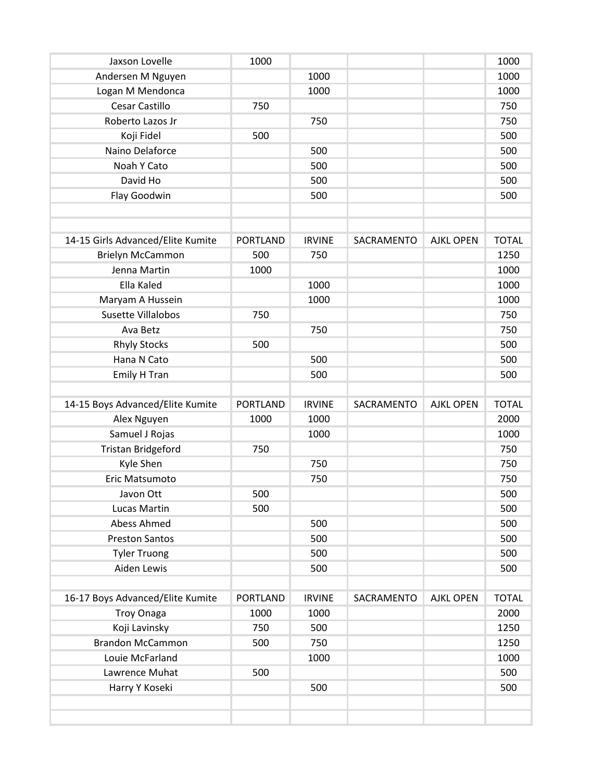| Jaxson Lovelle                    | 1000            |               |            |                  | 1000         |
|-----------------------------------|-----------------|---------------|------------|------------------|--------------|
| Andersen M Nguyen                 |                 | 1000          |            |                  | 1000         |
| Logan M Mendonca                  |                 | 1000          |            |                  | 1000         |
| Cesar Castillo                    | 750             |               |            |                  | 750          |
| Roberto Lazos Jr                  |                 | 750           |            |                  | 750          |
| Koji Fidel                        | 500             |               |            |                  | 500          |
| Naino Delaforce                   |                 | 500           |            |                  | 500          |
| Noah Y Cato                       |                 | 500           |            |                  | 500          |
| David Ho                          |                 | 500           |            |                  | 500          |
| Flay Goodwin                      |                 | 500           |            |                  | 500          |
|                                   |                 |               |            |                  |              |
| 14-15 Girls Advanced/Elite Kumite | <b>PORTLAND</b> | <b>IRVINE</b> | SACRAMENTO | <b>AJKL OPEN</b> | <b>TOTAL</b> |
| <b>Brielyn McCammon</b>           | 500             | 750           |            |                  | 1250         |
| Jenna Martin                      | 1000            |               |            |                  | 1000         |
| Ella Kaled                        |                 | 1000          |            |                  | 1000         |
| Maryam A Hussein                  |                 | 1000          |            |                  | 1000         |
| Susette Villalobos                | 750             |               |            |                  | 750          |
| Ava Betz                          |                 | 750           |            |                  | 750          |
| <b>Rhyly Stocks</b>               | 500             |               |            |                  | 500          |
| Hana N Cato                       |                 | 500           |            |                  | 500          |
| Emily H Tran                      |                 | 500           |            |                  | 500          |
|                                   |                 |               |            |                  |              |
| 14-15 Boys Advanced/Elite Kumite  | <b>PORTLAND</b> | <b>IRVINE</b> | SACRAMENTO | <b>AJKL OPEN</b> | <b>TOTAL</b> |
| Alex Nguyen                       | 1000            | 1000          |            |                  | 2000         |
| Samuel J Rojas                    |                 | 1000          |            |                  | 1000         |
| <b>Tristan Bridgeford</b>         | 750             |               |            |                  | 750          |
| Kyle Shen                         |                 | 750           |            |                  | 750          |
| Eric Matsumoto                    |                 | 750           |            |                  | 750          |
| Javon Ott                         | 500             |               |            |                  | 500          |
| Lucas Martin                      | 500             |               |            |                  | 500          |
| Abess Ahmed                       |                 | 500           |            |                  | 500          |
| <b>Preston Santos</b>             |                 | 500           |            |                  | 500          |
| <b>Tyler Truong</b>               |                 | 500           |            |                  | 500          |
| Aiden Lewis                       |                 | 500           |            |                  | 500          |
| 16-17 Boys Advanced/Elite Kumite  | <b>PORTLAND</b> | <b>IRVINE</b> | SACRAMENTO | <b>AJKL OPEN</b> | <b>TOTAL</b> |
| <b>Troy Onaga</b>                 | 1000            | 1000          |            |                  | 2000         |
| Koji Lavinsky                     | 750             | 500           |            |                  | 1250         |
| <b>Brandon McCammon</b>           | 500             | 750           |            |                  | 1250         |
| Louie McFarland                   |                 | 1000          |            |                  | 1000         |
| Lawrence Muhat                    | 500             |               |            |                  | 500          |
|                                   |                 | 500           |            |                  | 500          |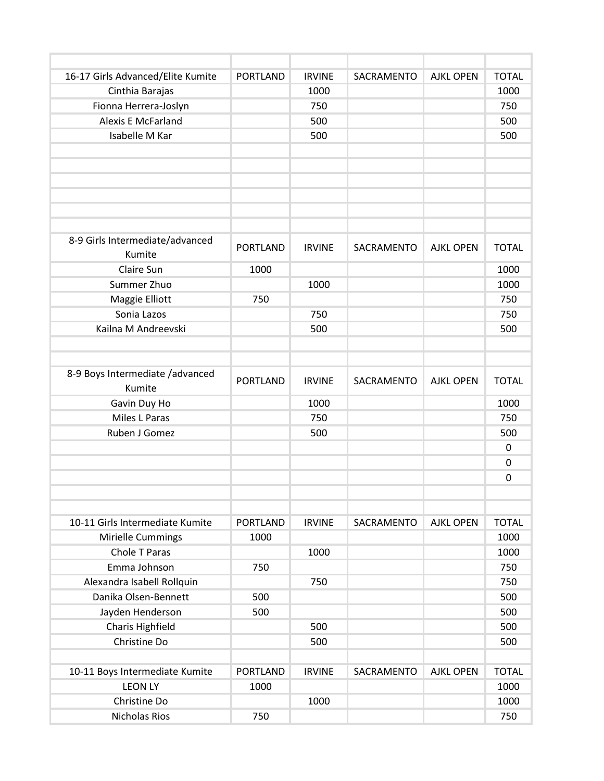| 16-17 Girls Advanced/Elite Kumite         | <b>PORTLAND</b> | <b>IRVINE</b> | SACRAMENTO | <b>AJKL OPEN</b> | <b>TOTAL</b> |
|-------------------------------------------|-----------------|---------------|------------|------------------|--------------|
| Cinthia Barajas                           |                 | 1000          |            |                  | 1000         |
| Fionna Herrera-Joslyn                     |                 | 750           |            |                  | 750          |
| <b>Alexis E McFarland</b>                 |                 | 500           |            |                  | 500          |
| Isabelle M Kar                            |                 | 500           |            |                  | 500          |
|                                           |                 |               |            |                  |              |
|                                           |                 |               |            |                  |              |
|                                           |                 |               |            |                  |              |
|                                           |                 |               |            |                  |              |
|                                           |                 |               |            |                  |              |
|                                           |                 |               |            |                  |              |
| 8-9 Girls Intermediate/advanced           | <b>PORTLAND</b> | <b>IRVINE</b> | SACRAMENTO | <b>AJKL OPEN</b> | <b>TOTAL</b> |
| Kumite                                    |                 |               |            |                  |              |
| Claire Sun                                | 1000            |               |            |                  | 1000         |
| Summer Zhuo                               |                 | 1000          |            |                  | 1000         |
| Maggie Elliott                            | 750             |               |            |                  | 750          |
| Sonia Lazos                               |                 | 750           |            |                  | 750          |
| Kailna M Andreevski                       |                 | 500           |            |                  | 500          |
|                                           |                 |               |            |                  |              |
|                                           |                 |               |            |                  |              |
| 8-9 Boys Intermediate /advanced<br>Kumite | <b>PORTLAND</b> | <b>IRVINE</b> | SACRAMENTO | <b>AJKL OPEN</b> | <b>TOTAL</b> |
| Gavin Duy Ho                              |                 | 1000          |            |                  | 1000         |
| Miles L Paras                             |                 | 750           |            |                  | 750          |
| Ruben J Gomez                             |                 | 500           |            |                  | 500          |
|                                           |                 |               |            |                  | 0            |
|                                           |                 |               |            |                  | 0            |
|                                           |                 |               |            |                  | 0            |
|                                           |                 |               |            |                  |              |
|                                           |                 |               |            |                  |              |
| 10-11 Girls Intermediate Kumite           | <b>PORTLAND</b> | <b>IRVINE</b> | SACRAMENTO | <b>AJKL OPEN</b> | <b>TOTAL</b> |
| Mirielle Cummings                         | 1000            |               |            |                  | 1000         |
| Chole T Paras                             |                 | 1000          |            |                  | 1000         |
| Emma Johnson                              | 750             |               |            |                  | 750          |
| Alexandra Isabell Rollquin                |                 | 750           |            |                  | 750          |
| Danika Olsen-Bennett                      | 500             |               |            |                  | 500          |
| Jayden Henderson                          | 500             |               |            |                  | 500          |
| Charis Highfield                          |                 | 500           |            |                  | 500          |
| Christine Do                              |                 | 500           |            |                  | 500          |
|                                           |                 |               |            |                  |              |
| 10-11 Boys Intermediate Kumite            | <b>PORTLAND</b> | <b>IRVINE</b> | SACRAMENTO | <b>AJKL OPEN</b> | <b>TOTAL</b> |
| <b>LEON LY</b>                            | 1000            |               |            |                  | 1000         |
| Christine Do                              |                 | 1000          |            |                  | 1000         |
| <b>Nicholas Rios</b>                      | 750             |               |            |                  | 750          |